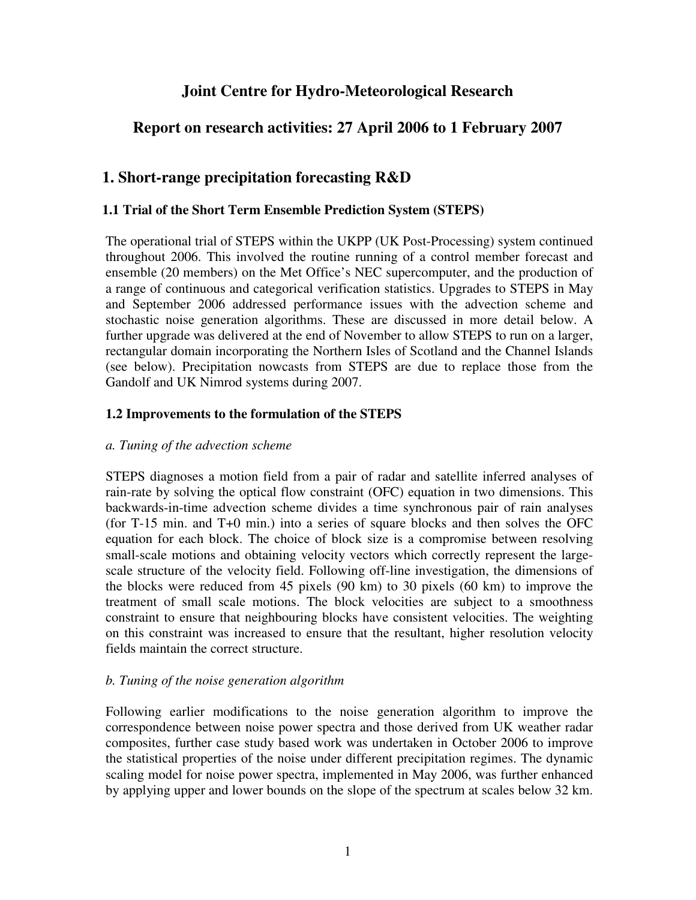# **Joint Centre for Hydro-Meteorological Research**

# **Report on research activities: 27 April 2006 to 1 February 2007**

# **1. Short-range precipitation forecasting R&D**

### **1.1 Trial of the Short Term Ensemble Prediction System (STEPS)**

The operational trial of STEPS within the UKPP (UK Post-Processing) system continued throughout 2006. This involved the routine running of a control member forecast and ensemble (20 members) on the Met Office's NEC supercomputer, and the production of a range of continuous and categorical verification statistics. Upgrades to STEPS in May and September 2006 addressed performance issues with the advection scheme and stochastic noise generation algorithms. These are discussed in more detail below. A further upgrade was delivered at the end of November to allow STEPS to run on a larger, rectangular domain incorporating the Northern Isles of Scotland and the Channel Islands (see below). Precipitation nowcasts from STEPS are due to replace those from the Gandolf and UK Nimrod systems during 2007.

### **1.2 Improvements to the formulation of the STEPS**

### *a. Tuning of the advection scheme*

STEPS diagnoses a motion field from a pair of radar and satellite inferred analyses of rain-rate by solving the optical flow constraint (OFC) equation in two dimensions. This backwards-in-time advection scheme divides a time synchronous pair of rain analyses (for T-15 min. and T+0 min.) into a series of square blocks and then solves the OFC equation for each block. The choice of block size is a compromise between resolving small-scale motions and obtaining velocity vectors which correctly represent the largescale structure of the velocity field. Following off-line investigation, the dimensions of the blocks were reduced from 45 pixels (90 km) to 30 pixels (60 km) to improve the treatment of small scale motions. The block velocities are subject to a smoothness constraint to ensure that neighbouring blocks have consistent velocities. The weighting on this constraint was increased to ensure that the resultant, higher resolution velocity fields maintain the correct structure.

### *b. Tuning of the noise generation algorithm*

Following earlier modifications to the noise generation algorithm to improve the correspondence between noise power spectra and those derived from UK weather radar composites, further case study based work was undertaken in October 2006 to improve the statistical properties of the noise under different precipitation regimes. The dynamic scaling model for noise power spectra, implemented in May 2006, was further enhanced by applying upper and lower bounds on the slope of the spectrum at scales below 32 km.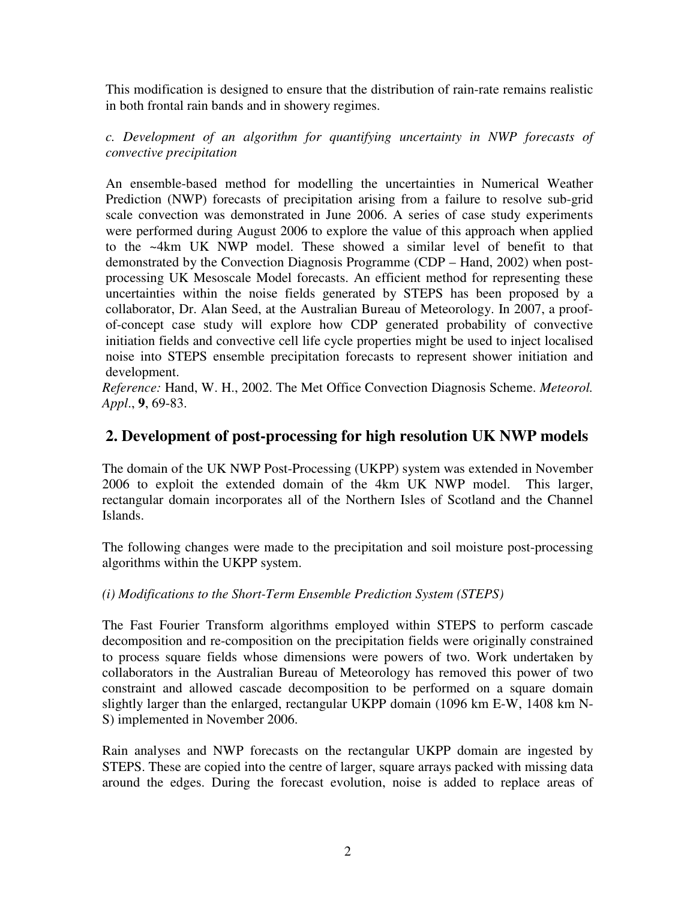This modification is designed to ensure that the distribution of rain-rate remains realistic in both frontal rain bands and in showery regimes.

*c. Development of an algorithm for quantifying uncertainty in NWP forecasts of convective precipitation* 

An ensemble-based method for modelling the uncertainties in Numerical Weather Prediction (NWP) forecasts of precipitation arising from a failure to resolve sub-grid scale convection was demonstrated in June 2006. A series of case study experiments were performed during August 2006 to explore the value of this approach when applied to the ~4km UK NWP model. These showed a similar level of benefit to that demonstrated by the Convection Diagnosis Programme (CDP – Hand, 2002) when postprocessing UK Mesoscale Model forecasts. An efficient method for representing these uncertainties within the noise fields generated by STEPS has been proposed by a collaborator, Dr. Alan Seed, at the Australian Bureau of Meteorology. In 2007, a proofof-concept case study will explore how CDP generated probability of convective initiation fields and convective cell life cycle properties might be used to inject localised noise into STEPS ensemble precipitation forecasts to represent shower initiation and development.

*Reference:* Hand, W. H., 2002. The Met Office Convection Diagnosis Scheme. *Meteorol. Appl*., **9**, 69-83.

## **2. Development of post-processing for high resolution UK NWP models**

The domain of the UK NWP Post-Processing (UKPP) system was extended in November 2006 to exploit the extended domain of the 4km UK NWP model. This larger, rectangular domain incorporates all of the Northern Isles of Scotland and the Channel Islands.

The following changes were made to the precipitation and soil moisture post-processing algorithms within the UKPP system.

### *(i) Modifications to the Short-Term Ensemble Prediction System (STEPS)*

The Fast Fourier Transform algorithms employed within STEPS to perform cascade decomposition and re-composition on the precipitation fields were originally constrained to process square fields whose dimensions were powers of two. Work undertaken by collaborators in the Australian Bureau of Meteorology has removed this power of two constraint and allowed cascade decomposition to be performed on a square domain slightly larger than the enlarged, rectangular UKPP domain (1096 km E-W, 1408 km N-S) implemented in November 2006.

Rain analyses and NWP forecasts on the rectangular UKPP domain are ingested by STEPS. These are copied into the centre of larger, square arrays packed with missing data around the edges. During the forecast evolution, noise is added to replace areas of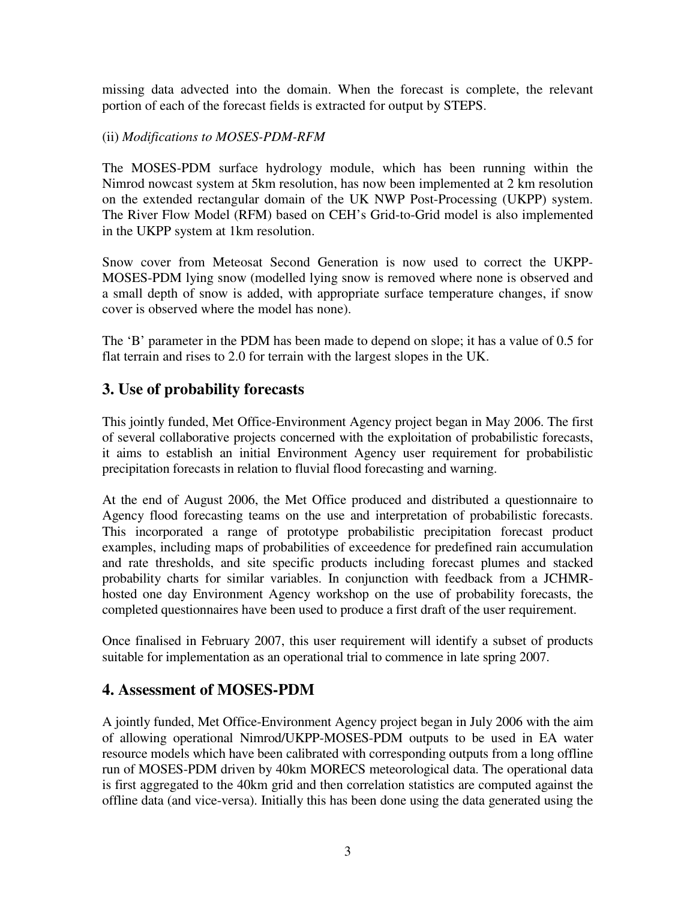missing data advected into the domain. When the forecast is complete, the relevant portion of each of the forecast fields is extracted for output by STEPS.

#### (ii) *Modifications to MOSES-PDM-RFM*

The MOSES-PDM surface hydrology module, which has been running within the Nimrod nowcast system at 5km resolution, has now been implemented at 2 km resolution on the extended rectangular domain of the UK NWP Post-Processing (UKPP) system. The River Flow Model (RFM) based on CEH's Grid-to-Grid model is also implemented in the UKPP system at 1km resolution.

Snow cover from Meteosat Second Generation is now used to correct the UKPP-MOSES-PDM lying snow (modelled lying snow is removed where none is observed and a small depth of snow is added, with appropriate surface temperature changes, if snow cover is observed where the model has none).

The 'B' parameter in the PDM has been made to depend on slope; it has a value of 0.5 for flat terrain and rises to 2.0 for terrain with the largest slopes in the UK.

# **3. Use of probability forecasts**

This jointly funded, Met Office-Environment Agency project began in May 2006. The first of several collaborative projects concerned with the exploitation of probabilistic forecasts, it aims to establish an initial Environment Agency user requirement for probabilistic precipitation forecasts in relation to fluvial flood forecasting and warning.

At the end of August 2006, the Met Office produced and distributed a questionnaire to Agency flood forecasting teams on the use and interpretation of probabilistic forecasts. This incorporated a range of prototype probabilistic precipitation forecast product examples, including maps of probabilities of exceedence for predefined rain accumulation and rate thresholds, and site specific products including forecast plumes and stacked probability charts for similar variables. In conjunction with feedback from a JCHMRhosted one day Environment Agency workshop on the use of probability forecasts, the completed questionnaires have been used to produce a first draft of the user requirement.

Once finalised in February 2007, this user requirement will identify a subset of products suitable for implementation as an operational trial to commence in late spring 2007.

## **4. Assessment of MOSES-PDM**

A jointly funded, Met Office-Environment Agency project began in July 2006 with the aim of allowing operational Nimrod/UKPP-MOSES-PDM outputs to be used in EA water resource models which have been calibrated with corresponding outputs from a long offline run of MOSES-PDM driven by 40km MORECS meteorological data. The operational data is first aggregated to the 40km grid and then correlation statistics are computed against the offline data (and vice-versa). Initially this has been done using the data generated using the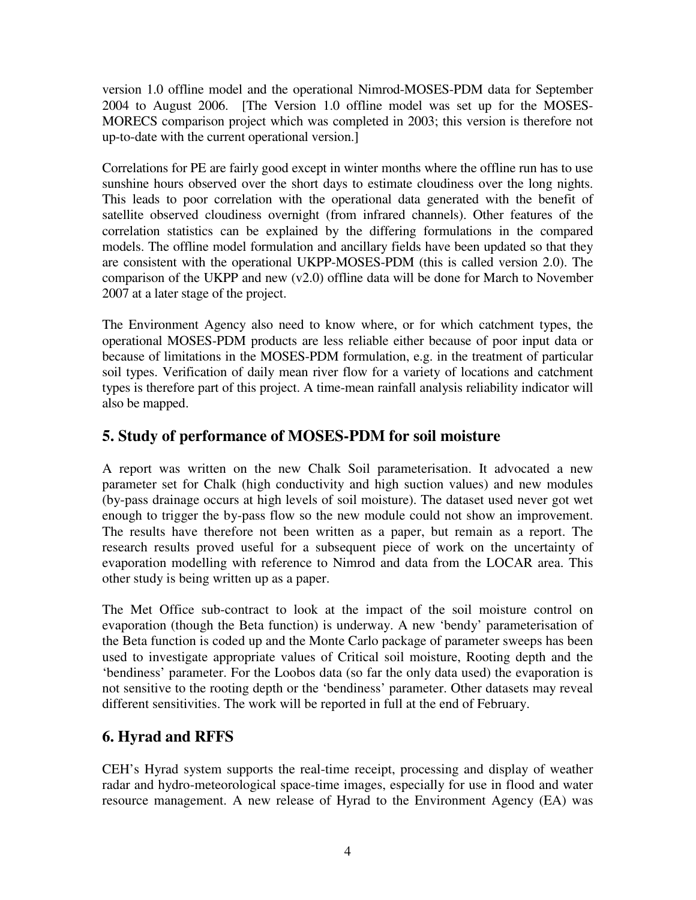version 1.0 offline model and the operational Nimrod-MOSES-PDM data for September 2004 to August 2006. [The Version 1.0 offline model was set up for the MOSES-MORECS comparison project which was completed in 2003; this version is therefore not up-to-date with the current operational version.]

Correlations for PE are fairly good except in winter months where the offline run has to use sunshine hours observed over the short days to estimate cloudiness over the long nights. This leads to poor correlation with the operational data generated with the benefit of satellite observed cloudiness overnight (from infrared channels). Other features of the correlation statistics can be explained by the differing formulations in the compared models. The offline model formulation and ancillary fields have been updated so that they are consistent with the operational UKPP-MOSES-PDM (this is called version 2.0). The comparison of the UKPP and new (v2.0) offline data will be done for March to November 2007 at a later stage of the project.

The Environment Agency also need to know where, or for which catchment types, the operational MOSES-PDM products are less reliable either because of poor input data or because of limitations in the MOSES-PDM formulation, e.g. in the treatment of particular soil types. Verification of daily mean river flow for a variety of locations and catchment types is therefore part of this project. A time-mean rainfall analysis reliability indicator will also be mapped.

# **5. Study of performance of MOSES-PDM for soil moisture**

A report was written on the new Chalk Soil parameterisation. It advocated a new parameter set for Chalk (high conductivity and high suction values) and new modules (by-pass drainage occurs at high levels of soil moisture). The dataset used never got wet enough to trigger the by-pass flow so the new module could not show an improvement. The results have therefore not been written as a paper, but remain as a report. The research results proved useful for a subsequent piece of work on the uncertainty of evaporation modelling with reference to Nimrod and data from the LOCAR area. This other study is being written up as a paper.

The Met Office sub-contract to look at the impact of the soil moisture control on evaporation (though the Beta function) is underway. A new 'bendy' parameterisation of the Beta function is coded up and the Monte Carlo package of parameter sweeps has been used to investigate appropriate values of Critical soil moisture, Rooting depth and the 'bendiness' parameter. For the Loobos data (so far the only data used) the evaporation is not sensitive to the rooting depth or the 'bendiness' parameter. Other datasets may reveal different sensitivities. The work will be reported in full at the end of February.

## **6. Hyrad and RFFS**

CEH's Hyrad system supports the real-time receipt, processing and display of weather radar and hydro-meteorological space-time images, especially for use in flood and water resource management. A new release of Hyrad to the Environment Agency (EA) was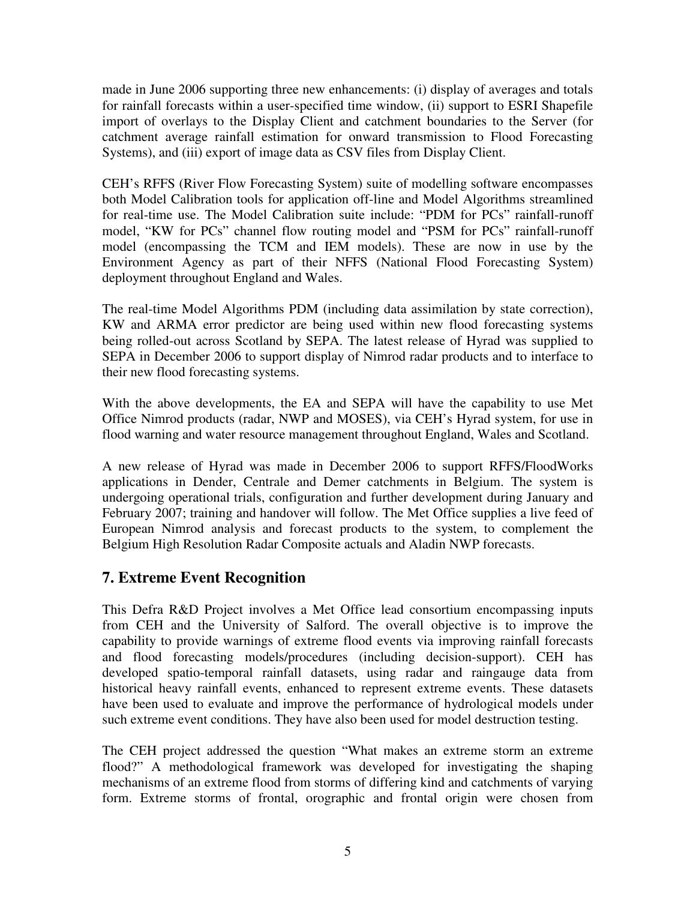made in June 2006 supporting three new enhancements: (i) display of averages and totals for rainfall forecasts within a user-specified time window, (ii) support to ESRI Shapefile import of overlays to the Display Client and catchment boundaries to the Server (for catchment average rainfall estimation for onward transmission to Flood Forecasting Systems), and (iii) export of image data as CSV files from Display Client.

CEH's RFFS (River Flow Forecasting System) suite of modelling software encompasses both Model Calibration tools for application off-line and Model Algorithms streamlined for real-time use. The Model Calibration suite include: "PDM for PCs" rainfall-runoff model, "KW for PCs" channel flow routing model and "PSM for PCs" rainfall-runoff model (encompassing the TCM and IEM models). These are now in use by the Environment Agency as part of their NFFS (National Flood Forecasting System) deployment throughout England and Wales.

The real-time Model Algorithms PDM (including data assimilation by state correction), KW and ARMA error predictor are being used within new flood forecasting systems being rolled-out across Scotland by SEPA. The latest release of Hyrad was supplied to SEPA in December 2006 to support display of Nimrod radar products and to interface to their new flood forecasting systems.

With the above developments, the EA and SEPA will have the capability to use Met Office Nimrod products (radar, NWP and MOSES), via CEH's Hyrad system, for use in flood warning and water resource management throughout England, Wales and Scotland.

A new release of Hyrad was made in December 2006 to support RFFS/FloodWorks applications in Dender, Centrale and Demer catchments in Belgium. The system is undergoing operational trials, configuration and further development during January and February 2007; training and handover will follow. The Met Office supplies a live feed of European Nimrod analysis and forecast products to the system, to complement the Belgium High Resolution Radar Composite actuals and Aladin NWP forecasts.

## **7. Extreme Event Recognition**

This Defra R&D Project involves a Met Office lead consortium encompassing inputs from CEH and the University of Salford. The overall objective is to improve the capability to provide warnings of extreme flood events via improving rainfall forecasts and flood forecasting models/procedures (including decision-support). CEH has developed spatio-temporal rainfall datasets, using radar and raingauge data from historical heavy rainfall events, enhanced to represent extreme events. These datasets have been used to evaluate and improve the performance of hydrological models under such extreme event conditions. They have also been used for model destruction testing.

The CEH project addressed the question "What makes an extreme storm an extreme flood?" A methodological framework was developed for investigating the shaping mechanisms of an extreme flood from storms of differing kind and catchments of varying form. Extreme storms of frontal, orographic and frontal origin were chosen from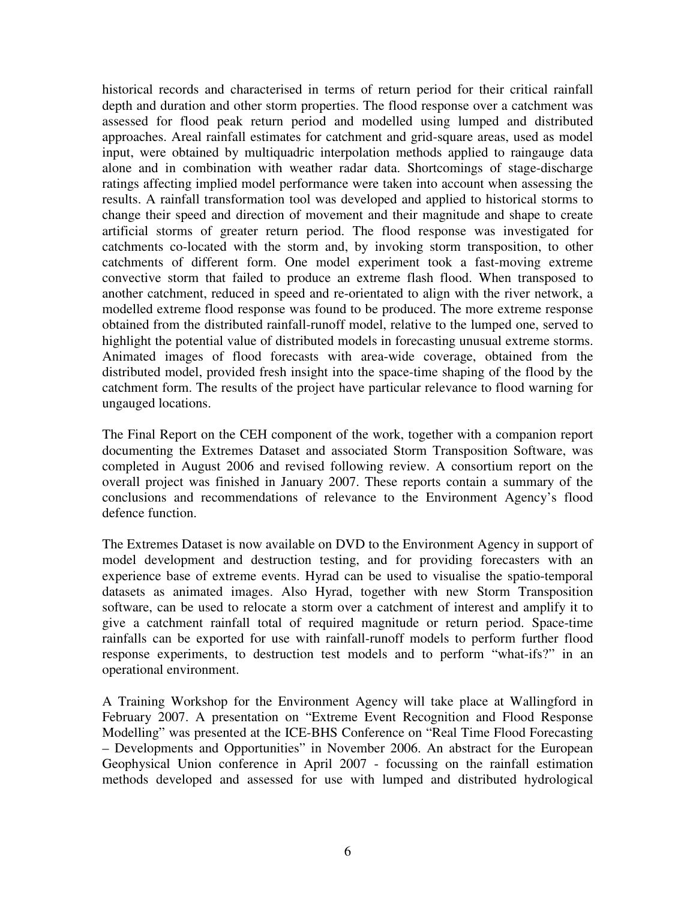historical records and characterised in terms of return period for their critical rainfall depth and duration and other storm properties. The flood response over a catchment was assessed for flood peak return period and modelled using lumped and distributed approaches. Areal rainfall estimates for catchment and grid-square areas, used as model input, were obtained by multiquadric interpolation methods applied to raingauge data alone and in combination with weather radar data. Shortcomings of stage-discharge ratings affecting implied model performance were taken into account when assessing the results. A rainfall transformation tool was developed and applied to historical storms to change their speed and direction of movement and their magnitude and shape to create artificial storms of greater return period. The flood response was investigated for catchments co-located with the storm and, by invoking storm transposition, to other catchments of different form. One model experiment took a fast-moving extreme convective storm that failed to produce an extreme flash flood. When transposed to another catchment, reduced in speed and re-orientated to align with the river network, a modelled extreme flood response was found to be produced. The more extreme response obtained from the distributed rainfall-runoff model, relative to the lumped one, served to highlight the potential value of distributed models in forecasting unusual extreme storms. Animated images of flood forecasts with area-wide coverage, obtained from the distributed model, provided fresh insight into the space-time shaping of the flood by the catchment form. The results of the project have particular relevance to flood warning for ungauged locations.

The Final Report on the CEH component of the work, together with a companion report documenting the Extremes Dataset and associated Storm Transposition Software, was completed in August 2006 and revised following review. A consortium report on the overall project was finished in January 2007. These reports contain a summary of the conclusions and recommendations of relevance to the Environment Agency's flood defence function.

The Extremes Dataset is now available on DVD to the Environment Agency in support of model development and destruction testing, and for providing forecasters with an experience base of extreme events. Hyrad can be used to visualise the spatio-temporal datasets as animated images. Also Hyrad, together with new Storm Transposition software, can be used to relocate a storm over a catchment of interest and amplify it to give a catchment rainfall total of required magnitude or return period. Space-time rainfalls can be exported for use with rainfall-runoff models to perform further flood response experiments, to destruction test models and to perform "what-ifs?" in an operational environment.

A Training Workshop for the Environment Agency will take place at Wallingford in February 2007. A presentation on "Extreme Event Recognition and Flood Response Modelling" was presented at the ICE-BHS Conference on "Real Time Flood Forecasting – Developments and Opportunities" in November 2006. An abstract for the European Geophysical Union conference in April 2007 - focussing on the rainfall estimation methods developed and assessed for use with lumped and distributed hydrological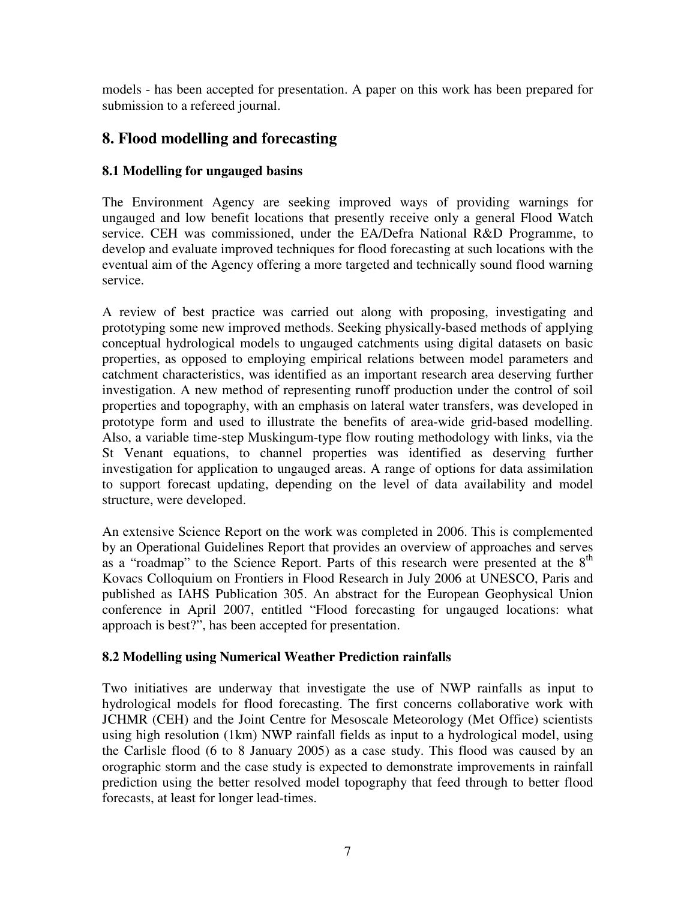models - has been accepted for presentation. A paper on this work has been prepared for submission to a refereed journal.

# **8. Flood modelling and forecasting**

### **8.1 Modelling for ungauged basins**

The Environment Agency are seeking improved ways of providing warnings for ungauged and low benefit locations that presently receive only a general Flood Watch service. CEH was commissioned, under the EA/Defra National R&D Programme, to develop and evaluate improved techniques for flood forecasting at such locations with the eventual aim of the Agency offering a more targeted and technically sound flood warning service.

A review of best practice was carried out along with proposing, investigating and prototyping some new improved methods. Seeking physically-based methods of applying conceptual hydrological models to ungauged catchments using digital datasets on basic properties, as opposed to employing empirical relations between model parameters and catchment characteristics, was identified as an important research area deserving further investigation. A new method of representing runoff production under the control of soil properties and topography, with an emphasis on lateral water transfers, was developed in prototype form and used to illustrate the benefits of area-wide grid-based modelling. Also, a variable time-step Muskingum-type flow routing methodology with links, via the St Venant equations, to channel properties was identified as deserving further investigation for application to ungauged areas. A range of options for data assimilation to support forecast updating, depending on the level of data availability and model structure, were developed.

An extensive Science Report on the work was completed in 2006. This is complemented by an Operational Guidelines Report that provides an overview of approaches and serves as a "roadmap" to the Science Report. Parts of this research were presented at the  $8<sup>th</sup>$ Kovacs Colloquium on Frontiers in Flood Research in July 2006 at UNESCO, Paris and published as IAHS Publication 305. An abstract for the European Geophysical Union conference in April 2007, entitled "Flood forecasting for ungauged locations: what approach is best?", has been accepted for presentation.

### **8.2 Modelling using Numerical Weather Prediction rainfalls**

Two initiatives are underway that investigate the use of NWP rainfalls as input to hydrological models for flood forecasting. The first concerns collaborative work with JCHMR (CEH) and the Joint Centre for Mesoscale Meteorology (Met Office) scientists using high resolution (1km) NWP rainfall fields as input to a hydrological model, using the Carlisle flood (6 to 8 January 2005) as a case study. This flood was caused by an orographic storm and the case study is expected to demonstrate improvements in rainfall prediction using the better resolved model topography that feed through to better flood forecasts, at least for longer lead-times.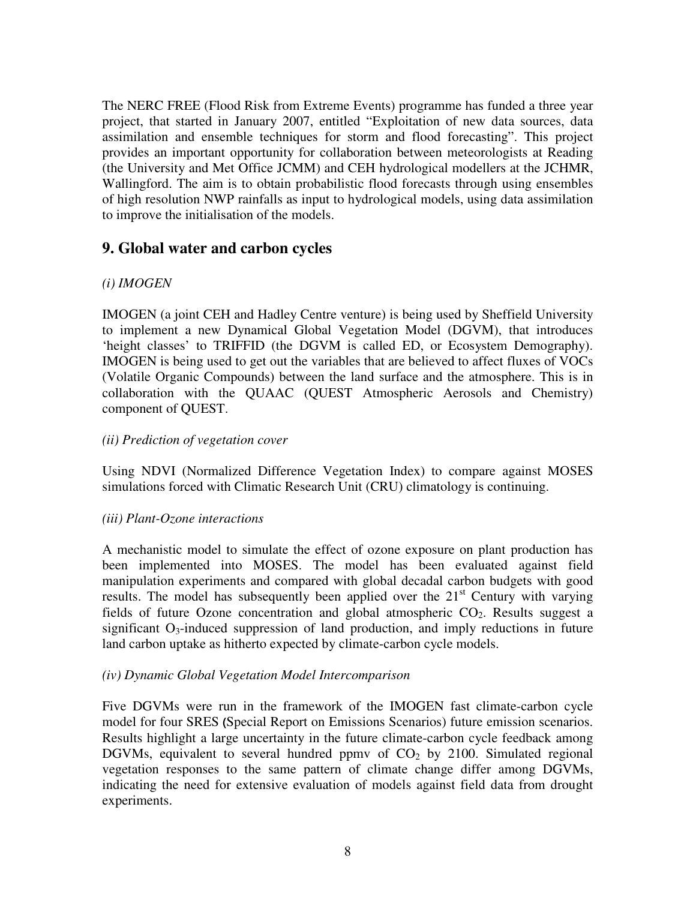The NERC FREE (Flood Risk from Extreme Events) programme has funded a three year project, that started in January 2007, entitled "Exploitation of new data sources, data assimilation and ensemble techniques for storm and flood forecasting". This project provides an important opportunity for collaboration between meteorologists at Reading (the University and Met Office JCMM) and CEH hydrological modellers at the JCHMR, Wallingford. The aim is to obtain probabilistic flood forecasts through using ensembles of high resolution NWP rainfalls as input to hydrological models, using data assimilation to improve the initialisation of the models.

### **9. Global water and carbon cycles**

### *(i) IMOGEN*

IMOGEN (a joint CEH and Hadley Centre venture) is being used by Sheffield University to implement a new Dynamical Global Vegetation Model (DGVM), that introduces 'height classes' to TRIFFID (the DGVM is called ED, or Ecosystem Demography). IMOGEN is being used to get out the variables that are believed to affect fluxes of VOCs (Volatile Organic Compounds) between the land surface and the atmosphere. This is in collaboration with the QUAAC (QUEST Atmospheric Aerosols and Chemistry) component of QUEST.

#### *(ii) Prediction of vegetation cover*

Using NDVI (Normalized Difference Vegetation Index) to compare against MOSES simulations forced with Climatic Research Unit (CRU) climatology is continuing.

#### *(iii) Plant-Ozone interactions*

A mechanistic model to simulate the effect of ozone exposure on plant production has been implemented into MOSES. The model has been evaluated against field manipulation experiments and compared with global decadal carbon budgets with good results. The model has subsequently been applied over the  $21<sup>st</sup>$  Century with varying fields of future Ozone concentration and global atmospheric  $CO<sub>2</sub>$ . Results suggest a significant  $O_3$ -induced suppression of land production, and imply reductions in future land carbon uptake as hitherto expected by climate-carbon cycle models.

#### *(iv) Dynamic Global Vegetation Model Intercomparison*

Five DGVMs were run in the framework of the IMOGEN fast climate-carbon cycle model for four SRES **(**Special Report on Emissions Scenarios) future emission scenarios. Results highlight a large uncertainty in the future climate-carbon cycle feedback among DGVMs, equivalent to several hundred ppmv of  $CO<sub>2</sub>$  by 2100. Simulated regional vegetation responses to the same pattern of climate change differ among DGVMs, indicating the need for extensive evaluation of models against field data from drought experiments.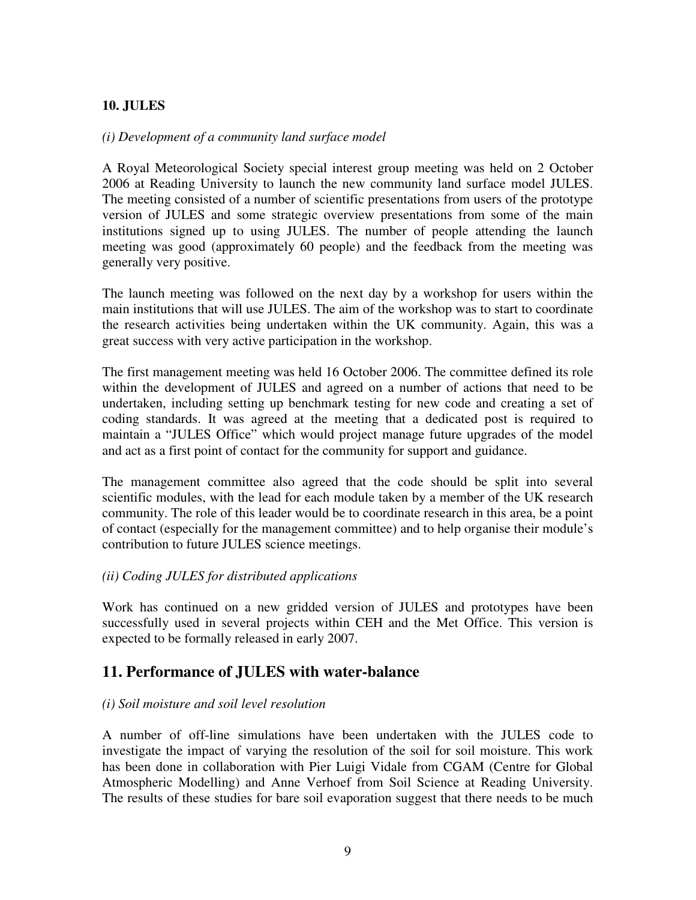### **10. JULES**

#### *(i) Development of a community land surface model*

A Royal Meteorological Society special interest group meeting was held on 2 October 2006 at Reading University to launch the new community land surface model JULES. The meeting consisted of a number of scientific presentations from users of the prototype version of JULES and some strategic overview presentations from some of the main institutions signed up to using JULES. The number of people attending the launch meeting was good (approximately 60 people) and the feedback from the meeting was generally very positive.

The launch meeting was followed on the next day by a workshop for users within the main institutions that will use JULES. The aim of the workshop was to start to coordinate the research activities being undertaken within the UK community. Again, this was a great success with very active participation in the workshop.

The first management meeting was held 16 October 2006. The committee defined its role within the development of JULES and agreed on a number of actions that need to be undertaken, including setting up benchmark testing for new code and creating a set of coding standards. It was agreed at the meeting that a dedicated post is required to maintain a "JULES Office" which would project manage future upgrades of the model and act as a first point of contact for the community for support and guidance.

The management committee also agreed that the code should be split into several scientific modules, with the lead for each module taken by a member of the UK research community. The role of this leader would be to coordinate research in this area, be a point of contact (especially for the management committee) and to help organise their module's contribution to future JULES science meetings.

### *(ii) Coding JULES for distributed applications*

Work has continued on a new gridded version of JULES and prototypes have been successfully used in several projects within CEH and the Met Office. This version is expected to be formally released in early 2007.

### **11. Performance of JULES with water-balance**

#### *(i) Soil moisture and soil level resolution*

A number of off-line simulations have been undertaken with the JULES code to investigate the impact of varying the resolution of the soil for soil moisture. This work has been done in collaboration with Pier Luigi Vidale from CGAM (Centre for Global Atmospheric Modelling) and Anne Verhoef from Soil Science at Reading University. The results of these studies for bare soil evaporation suggest that there needs to be much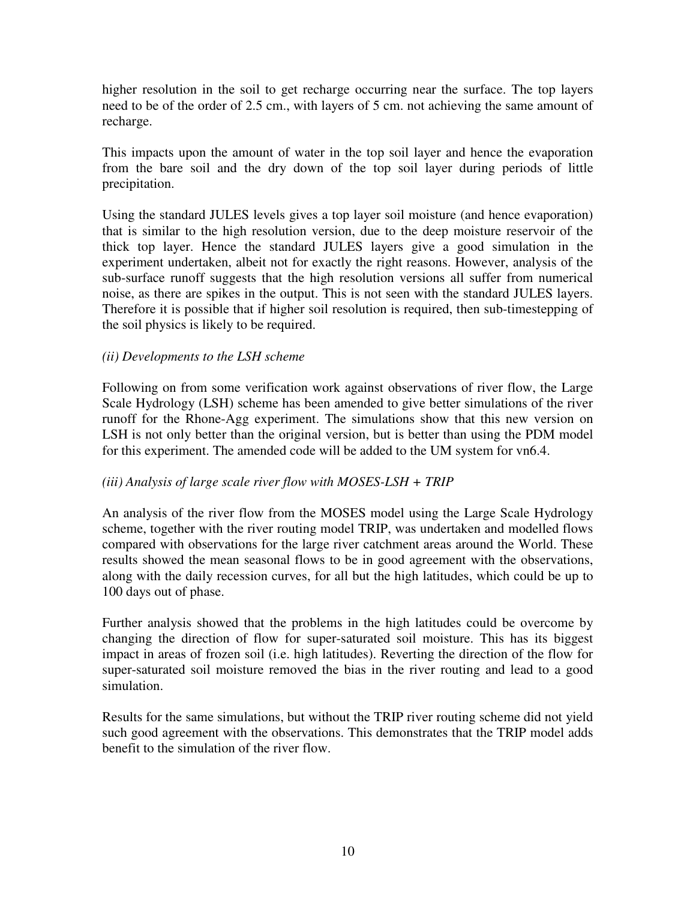higher resolution in the soil to get recharge occurring near the surface. The top layers need to be of the order of 2.5 cm., with layers of 5 cm. not achieving the same amount of recharge.

This impacts upon the amount of water in the top soil layer and hence the evaporation from the bare soil and the dry down of the top soil layer during periods of little precipitation.

Using the standard JULES levels gives a top layer soil moisture (and hence evaporation) that is similar to the high resolution version, due to the deep moisture reservoir of the thick top layer. Hence the standard JULES layers give a good simulation in the experiment undertaken, albeit not for exactly the right reasons. However, analysis of the sub-surface runoff suggests that the high resolution versions all suffer from numerical noise, as there are spikes in the output. This is not seen with the standard JULES layers. Therefore it is possible that if higher soil resolution is required, then sub-timestepping of the soil physics is likely to be required.

#### *(ii) Developments to the LSH scheme*

Following on from some verification work against observations of river flow, the Large Scale Hydrology (LSH) scheme has been amended to give better simulations of the river runoff for the Rhone-Agg experiment. The simulations show that this new version on LSH is not only better than the original version, but is better than using the PDM model for this experiment. The amended code will be added to the UM system for vn6.4.

### *(iii) Analysis of large scale river flow with MOSES-LSH + TRIP*

An analysis of the river flow from the MOSES model using the Large Scale Hydrology scheme, together with the river routing model TRIP, was undertaken and modelled flows compared with observations for the large river catchment areas around the World. These results showed the mean seasonal flows to be in good agreement with the observations, along with the daily recession curves, for all but the high latitudes, which could be up to 100 days out of phase.

Further analysis showed that the problems in the high latitudes could be overcome by changing the direction of flow for super-saturated soil moisture. This has its biggest impact in areas of frozen soil (i.e. high latitudes). Reverting the direction of the flow for super-saturated soil moisture removed the bias in the river routing and lead to a good simulation.

Results for the same simulations, but without the TRIP river routing scheme did not yield such good agreement with the observations. This demonstrates that the TRIP model adds benefit to the simulation of the river flow.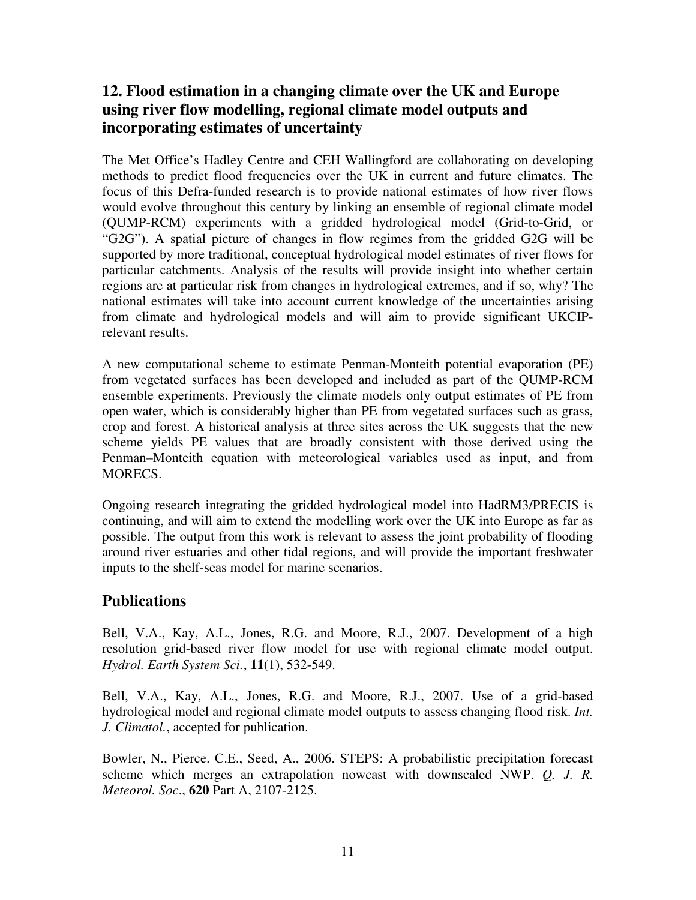# **12. Flood estimation in a changing climate over the UK and Europe using river flow modelling, regional climate model outputs and incorporating estimates of uncertainty**

The Met Office's Hadley Centre and CEH Wallingford are collaborating on developing methods to predict flood frequencies over the UK in current and future climates. The focus of this Defra-funded research is to provide national estimates of how river flows would evolve throughout this century by linking an ensemble of regional climate model (QUMP-RCM) experiments with a gridded hydrological model (Grid-to-Grid, or "G2G"). A spatial picture of changes in flow regimes from the gridded G2G will be supported by more traditional, conceptual hydrological model estimates of river flows for particular catchments. Analysis of the results will provide insight into whether certain regions are at particular risk from changes in hydrological extremes, and if so, why? The national estimates will take into account current knowledge of the uncertainties arising from climate and hydrological models and will aim to provide significant UKCIPrelevant results.

A new computational scheme to estimate Penman-Monteith potential evaporation (PE) from vegetated surfaces has been developed and included as part of the QUMP-RCM ensemble experiments. Previously the climate models only output estimates of PE from open water, which is considerably higher than PE from vegetated surfaces such as grass, crop and forest. A historical analysis at three sites across the UK suggests that the new scheme yields PE values that are broadly consistent with those derived using the Penman–Monteith equation with meteorological variables used as input, and from MORECS.

Ongoing research integrating the gridded hydrological model into HadRM3/PRECIS is continuing, and will aim to extend the modelling work over the UK into Europe as far as possible. The output from this work is relevant to assess the joint probability of flooding around river estuaries and other tidal regions, and will provide the important freshwater inputs to the shelf-seas model for marine scenarios.

### **Publications**

Bell, V.A., Kay, A.L., Jones, R.G. and Moore, R.J., 2007. Development of a high resolution grid-based river flow model for use with regional climate model output. *Hydrol. Earth System Sci.*, **11**(1), 532-549.

Bell, V.A., Kay, A.L., Jones, R.G. and Moore, R.J., 2007. Use of a grid-based hydrological model and regional climate model outputs to assess changing flood risk. *Int. J. Climatol.*, accepted for publication.

Bowler, N., Pierce. C.E., Seed, A., 2006. STEPS: A probabilistic precipitation forecast scheme which merges an extrapolation nowcast with downscaled NWP. *Q. J. R. Meteorol. Soc*., **620** Part A, 2107-2125.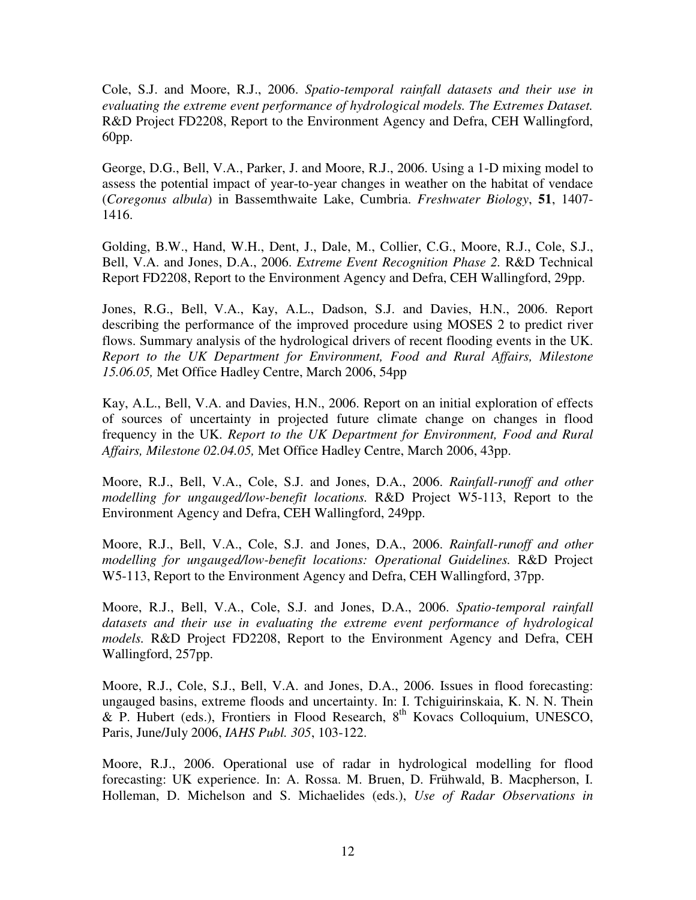Cole, S.J. and Moore, R.J., 2006. *Spatio-temporal rainfall datasets and their use in evaluating the extreme event performance of hydrological models. The Extremes Dataset.* R&D Project FD2208, Report to the Environment Agency and Defra, CEH Wallingford, 60pp.

George, D.G., Bell, V.A., Parker, J. and Moore, R.J., 2006. Using a 1-D mixing model to assess the potential impact of year-to-year changes in weather on the habitat of vendace (*Coregonus albula*) in Bassemthwaite Lake, Cumbria. *Freshwater Biology*, **51**, 1407- 1416.

Golding, B.W., Hand, W.H., Dent, J., Dale, M., Collier, C.G., Moore, R.J., Cole, S.J., Bell, V.A. and Jones, D.A., 2006. *Extreme Event Recognition Phase 2.* R&D Technical Report FD2208, Report to the Environment Agency and Defra, CEH Wallingford, 29pp.

Jones, R.G., Bell, V.A., Kay, A.L., Dadson, S.J. and Davies, H.N., 2006. Report describing the performance of the improved procedure using MOSES 2 to predict river flows. Summary analysis of the hydrological drivers of recent flooding events in the UK. *Report to the UK Department for Environment, Food and Rural Affairs, Milestone 15.06.05,* Met Office Hadley Centre, March 2006, 54pp

Kay, A.L., Bell, V.A. and Davies, H.N., 2006. Report on an initial exploration of effects of sources of uncertainty in projected future climate change on changes in flood frequency in the UK. *Report to the UK Department for Environment, Food and Rural Affairs, Milestone 02.04.05,* Met Office Hadley Centre, March 2006, 43pp.

Moore, R.J., Bell, V.A., Cole, S.J. and Jones, D.A., 2006. *Rainfall-runoff and other modelling for ungauged/low-benefit locations.* R&D Project W5-113, Report to the Environment Agency and Defra, CEH Wallingford, 249pp.

Moore, R.J., Bell, V.A., Cole, S.J. and Jones, D.A., 2006. *Rainfall-runoff and other modelling for ungauged/low-benefit locations: Operational Guidelines.* R&D Project W5-113, Report to the Environment Agency and Defra, CEH Wallingford, 37pp.

Moore, R.J., Bell, V.A., Cole, S.J. and Jones, D.A., 2006. *Spatio-temporal rainfall datasets and their use in evaluating the extreme event performance of hydrological models.* R&D Project FD2208, Report to the Environment Agency and Defra, CEH Wallingford, 257pp.

Moore, R.J., Cole, S.J., Bell, V.A. and Jones, D.A., 2006. Issues in flood forecasting: ungauged basins, extreme floods and uncertainty. In: I. Tchiguirinskaia, K. N. N. Thein & P. Hubert (eds.), Frontiers in Flood Research, 8<sup>th</sup> Kovacs Colloquium, UNESCO, Paris, June/July 2006, *IAHS Publ. 305*, 103-122.

Moore, R.J., 2006. Operational use of radar in hydrological modelling for flood forecasting: UK experience. In: A. Rossa. M. Bruen, D. Frühwald, B. Macpherson, I. Holleman, D. Michelson and S. Michaelides (eds.), *Use of Radar Observations in*